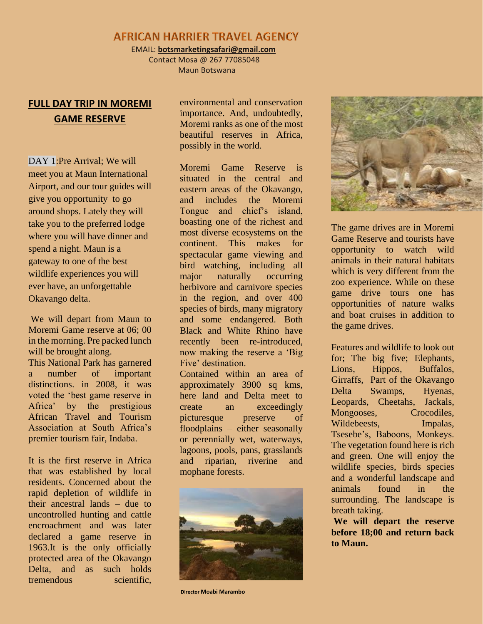## **AFRICAN HARRIER TRAVEL AGENCY**

EMAIL: **botsmarketingsafari@gmail.com**

 Contact Mosa @ 267 77085048 Maun Botswana

## **FULL DAY TRIP IN MOREMI GAME RESERVE**

DAY 1:Pre Arrival; We will meet you at Maun International Airport, and our tour guides will give you opportunity to go around shops. Lately they will take you to the preferred lodge where you will have dinner and spend a night. Maun is a gateway to one of the best wildlife experiences you will ever have, an unforgettable Okavango delta.

We will depart from Maun to Moremi Game reserve at 06; 00 in the morning. Pre packed lunch will be brought along. This National Park has garnered a number of important distinctions. in 2008, it was voted the 'best game reserve in Africa' by the prestigious African Travel and Tourism Association at South Africa's premier tourism fair, Indaba.

It is the first reserve in Africa that was established by local residents. Concerned about the rapid depletion of wildlife in their ancestral lands – due to uncontrolled hunting and cattle encroachment and was later declared a game reserve in 1963.It is the only officially protected area of the Okavango Delta, and as such holds tremendous scientific,

environmental and conservation importance. And, undoubtedly, Moremi ranks as one of the most beautiful reserves in Africa, possibly in the world.

Moremi Game Reserve is situated in the central and eastern areas of the Okavango, and includes the Moremi Tongue and chief's island, boasting one of the richest and most diverse ecosystems on the continent. This makes for spectacular game viewing and bird watching, including all major naturally occurring herbivore and carnivore species in the region, and over 400 species of birds, many migratory and some endangered. Both Black and White Rhino have recently been re-introduced, now making the reserve a 'Big Five' destination.

Contained within an area of approximately 3900 sq kms, here land and Delta meet to create an exceedingly picturesque preserve of floodplains – either seasonally or perennially wet, waterways, lagoons, pools, pans, grasslands and riparian, riverine and mophane forests.



**Director Moabi Marambo**



The game drives are in Moremi Game Reserve and tourists have opportunity to watch wild animals in their natural habitats which is very different from the zoo experience. While on these game drive tours one has opportunities of nature walks and boat cruises in addition to the game drives.

Features and wildlife to look out for; The big five; Elephants, Lions, Hippos, Buffalos, Girraffs, Part of the Okavango Delta Swamps, Hyenas, Leopards, Cheetahs, Jackals, Mongooses, Crocodiles, Wildebeests, Impalas, Tsesebe's, Baboons, Monkeys. The vegetation found here is rich and green. One will enjoy the wildlife species, birds species and a wonderful landscape and animals found in the surrounding. The landscape is breath taking.

**We will depart the reserve before 18;00 and return back to Maun.**